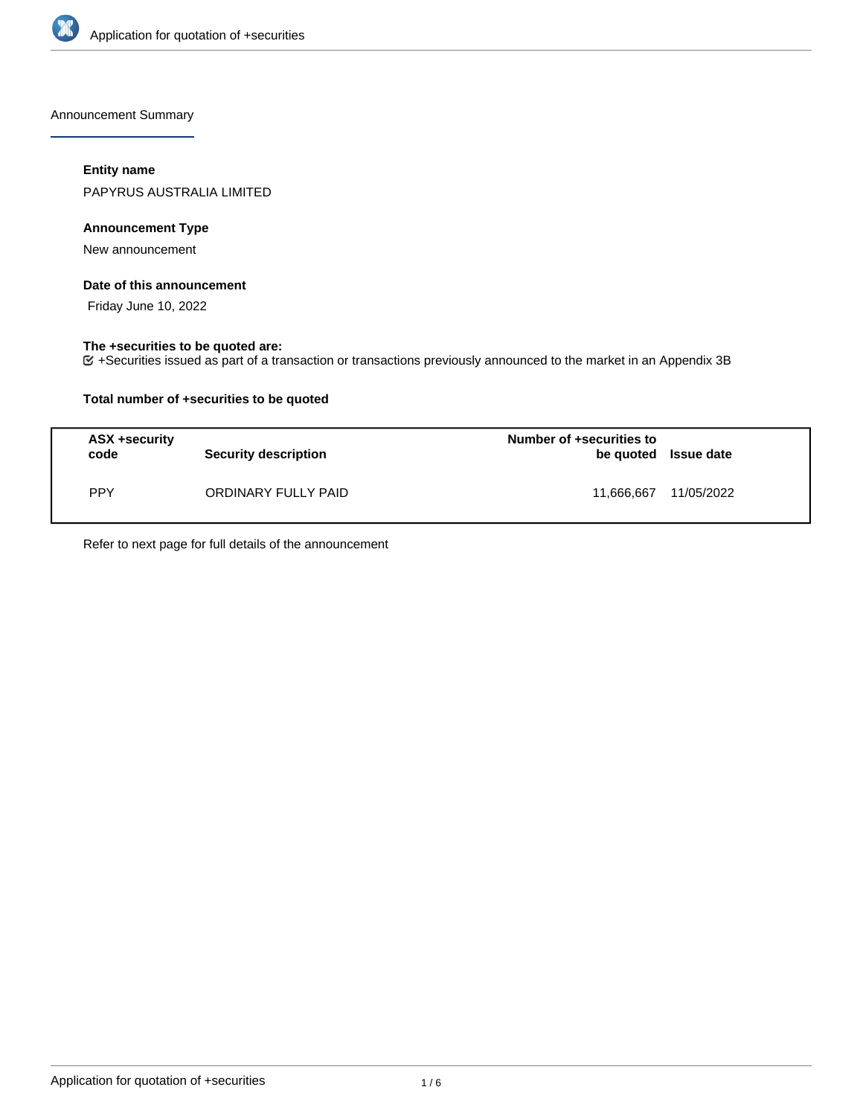

Announcement Summary

# **Entity name**

PAPYRUS AUSTRALIA LIMITED

# **Announcement Type**

New announcement

#### **Date of this announcement**

Friday June 10, 2022

## **The +securities to be quoted are:**

+Securities issued as part of a transaction or transactions previously announced to the market in an Appendix 3B

# **Total number of +securities to be quoted**

| ASX +security<br>code | <b>Security description</b> | Number of +securities to<br>be quoted Issue date |            |
|-----------------------|-----------------------------|--------------------------------------------------|------------|
| <b>PPY</b>            | ORDINARY FULLY PAID         | 11,666,667                                       | 11/05/2022 |

Refer to next page for full details of the announcement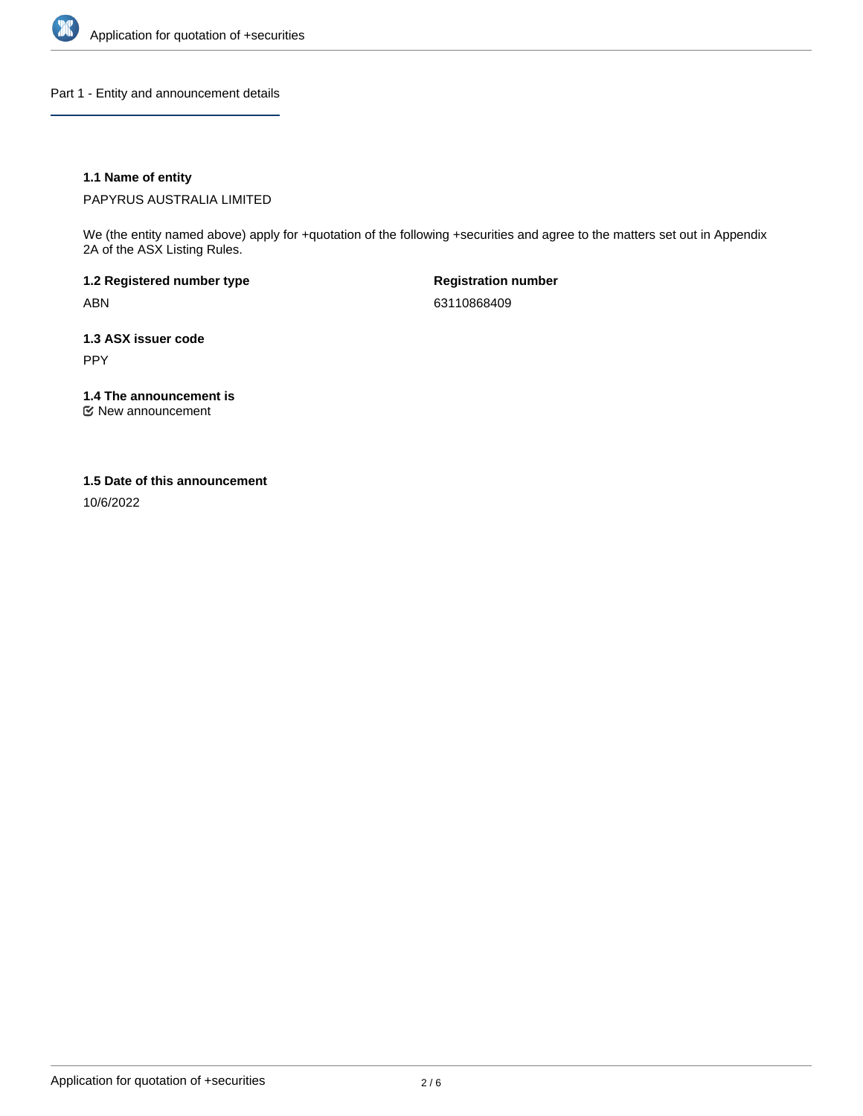

Part 1 - Entity and announcement details

# **1.1 Name of entity**

PAPYRUS AUSTRALIA LIMITED

We (the entity named above) apply for +quotation of the following +securities and agree to the matters set out in Appendix 2A of the ASX Listing Rules.

**1.2 Registered number type** ABN

**Registration number** 63110868409

**1.3 ASX issuer code** PPY

**1.4 The announcement is**

New announcement

## **1.5 Date of this announcement**

10/6/2022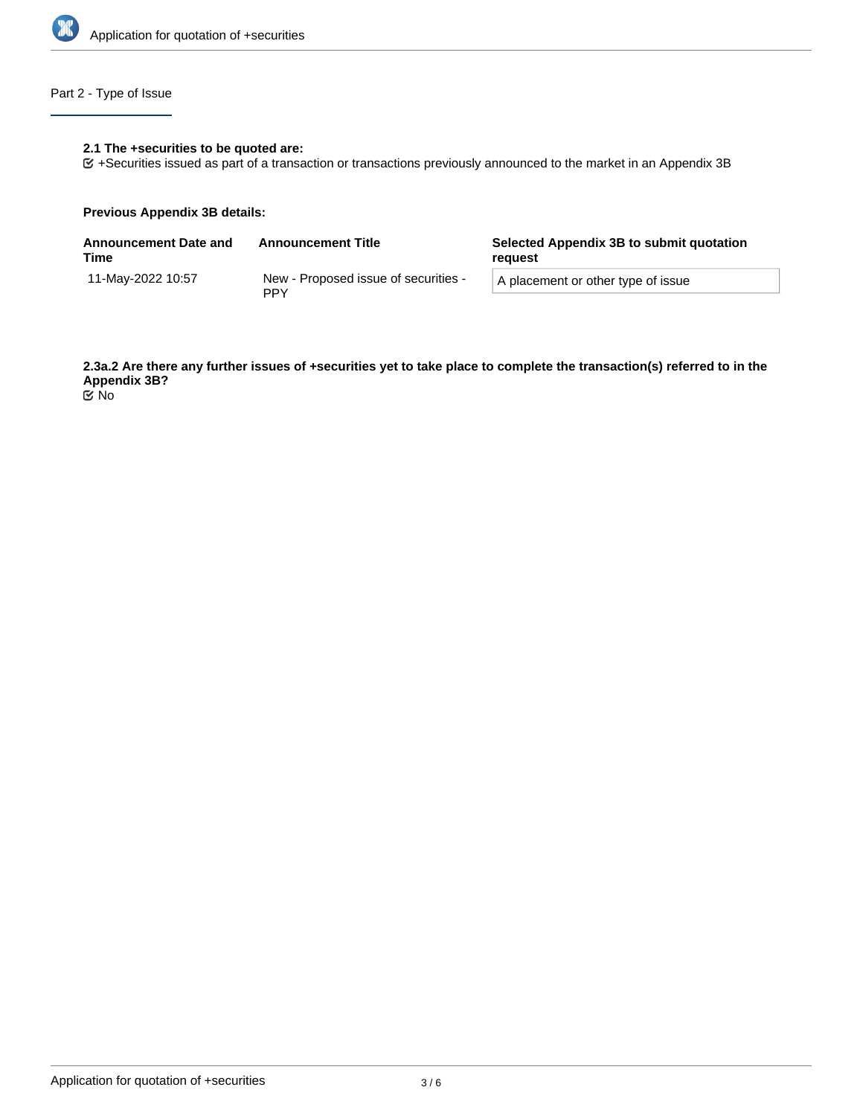

# Part 2 - Type of Issue

# **2.1 The +securities to be quoted are:**

+Securities issued as part of a transaction or transactions previously announced to the market in an Appendix 3B

## **Previous Appendix 3B details:**

| <b>Announcement Date and</b><br>Time | <b>Announcement Title</b>                          | Selected Appendix 3B to submit quotation<br>reauest |  |
|--------------------------------------|----------------------------------------------------|-----------------------------------------------------|--|
| 11-Mav-2022 10:57                    | New - Proposed issue of securities -<br><b>PPY</b> | A placement or other type of issue                  |  |

**2.3a.2 Are there any further issues of +securities yet to take place to complete the transaction(s) referred to in the Appendix 3B?** No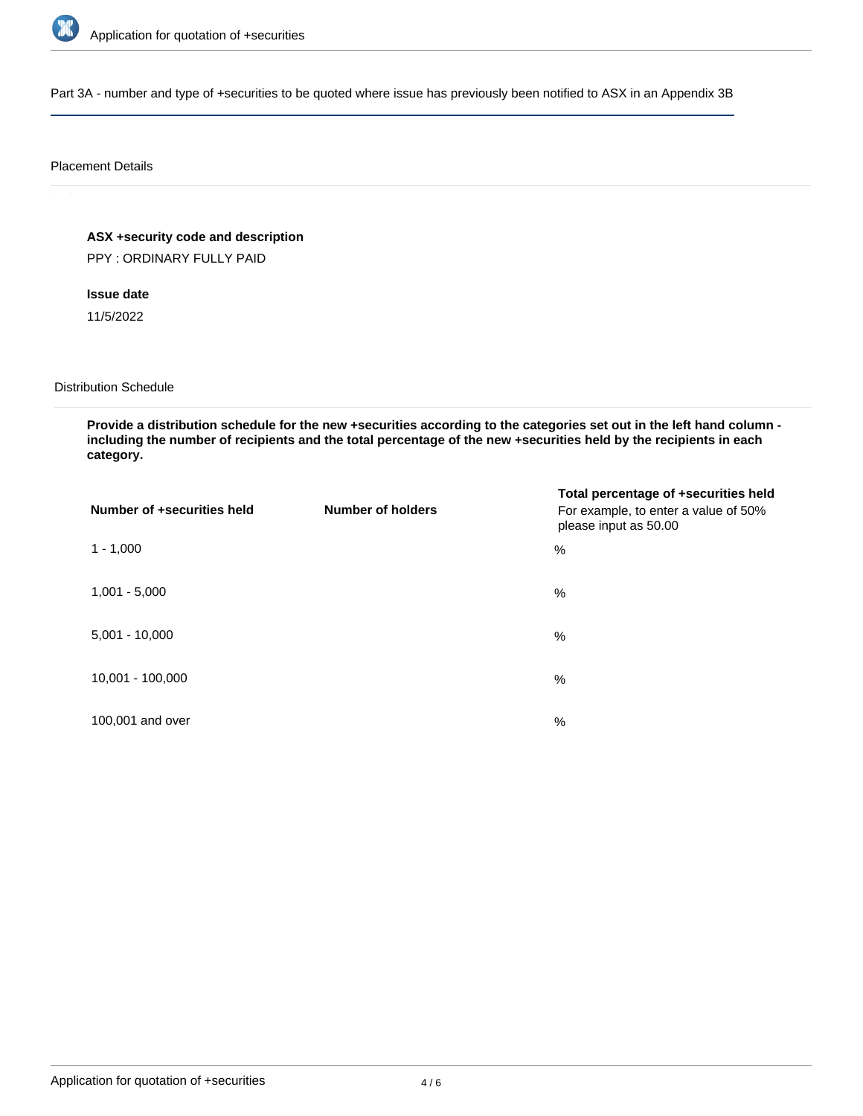

Part 3A - number and type of +securities to be quoted where issue has previously been notified to ASX in an Appendix 3B

## Placement Details

# **ASX +security code and description**

PPY : ORDINARY FULLY PAID

# **Issue date**

11/5/2022

## Distribution Schedule

**Provide a distribution schedule for the new +securities according to the categories set out in the left hand column including the number of recipients and the total percentage of the new +securities held by the recipients in each category.**

| Number of +securities held | <b>Number of holders</b> | Total percentage of +securities held<br>For example, to enter a value of 50%<br>please input as 50.00 |
|----------------------------|--------------------------|-------------------------------------------------------------------------------------------------------|
| $1 - 1,000$                |                          | %                                                                                                     |
| $1,001 - 5,000$            |                          | $\%$                                                                                                  |
| $5,001 - 10,000$           |                          | %                                                                                                     |
| 10,001 - 100,000           |                          | $\%$                                                                                                  |
| 100,001 and over           |                          | $\%$                                                                                                  |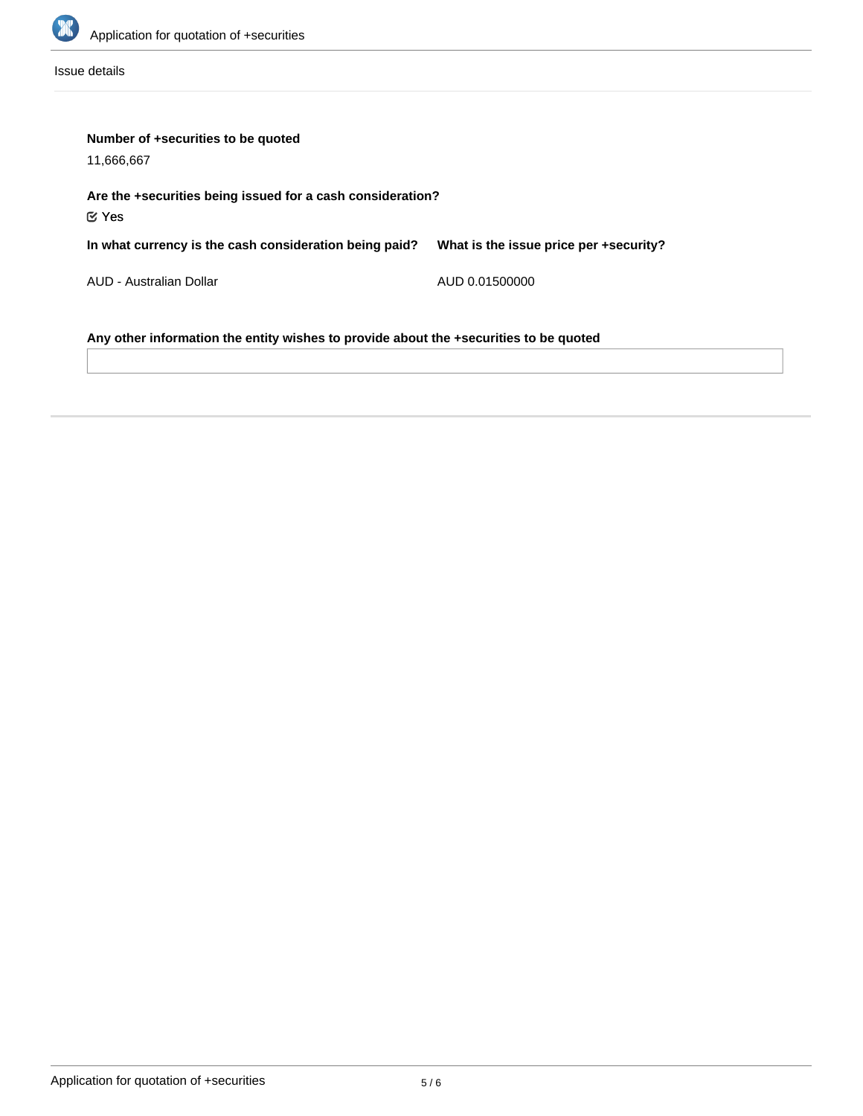

Issue details

| Number of +securities to be quoted<br>11,666,667                                      |                                        |  |  |  |
|---------------------------------------------------------------------------------------|----------------------------------------|--|--|--|
| Are the +securities being issued for a cash consideration?<br>$\mathfrak C$ Yes       |                                        |  |  |  |
| In what currency is the cash consideration being paid?                                | What is the issue price per +security? |  |  |  |
| AUD - Australian Dollar                                                               | AUD 0.01500000                         |  |  |  |
| Any other information the entity wishes to provide about the +securities to be quoted |                                        |  |  |  |